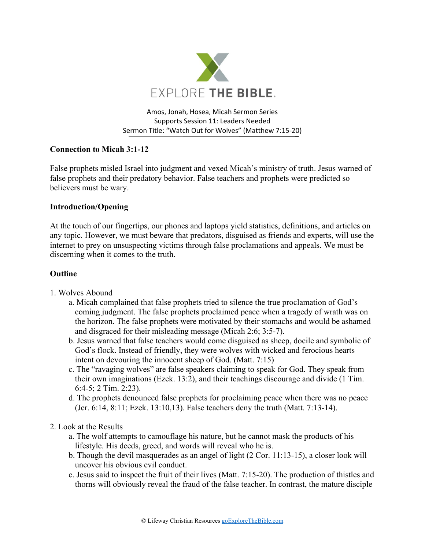

Amos, Jonah, Hosea, Micah Sermon Series Supports Session 11: Leaders Needed Sermon Title: "Watch Out for Wolves" (Matthew 7:15-20)

# **Connection to Micah 3:1-12**

False prophets misled Israel into judgment and vexed Micah's ministry of truth. Jesus warned of false prophets and their predatory behavior. False teachers and prophets were predicted so believers must be wary.

## **Introduction/Opening**

At the touch of our fingertips, our phones and laptops yield statistics, definitions, and articles on any topic. However, we must beware that predators, disguised as friends and experts, will use the internet to prey on unsuspecting victims through false proclamations and appeals. We must be discerning when it comes to the truth.

### **Outline**

- 1. Wolves Abound
	- a. Micah complained that false prophets tried to silence the true proclamation of God's coming judgment. The false prophets proclaimed peace when a tragedy of wrath was on the horizon. The false prophets were motivated by their stomachs and would be ashamed and disgraced for their misleading message (Micah 2:6; 3:5-7).
	- b. Jesus warned that false teachers would come disguised as sheep, docile and symbolic of God's flock. Instead of friendly, they were wolves with wicked and ferocious hearts intent on devouring the innocent sheep of God. (Matt. 7:15)
	- c. The "ravaging wolves" are false speakers claiming to speak for God. They speak from their own imaginations (Ezek. 13:2), and their teachings discourage and divide (1 Tim. 6:4-5; 2 Tim. 2:23).
	- d. The prophets denounced false prophets for proclaiming peace when there was no peace (Jer. 6:14, 8:11; Ezek. 13:10,13). False teachers deny the truth (Matt. 7:13-14).

#### 2. Look at the Results

- a. The wolf attempts to camouflage his nature, but he cannot mask the products of his lifestyle. His deeds, greed, and words will reveal who he is.
- b. Though the devil masquerades as an angel of light (2 Cor. 11:13-15), a closer look will uncover his obvious evil conduct.
- c. Jesus said to inspect the fruit of their lives (Matt. 7:15-20). The production of thistles and thorns will obviously reveal the fraud of the false teacher. In contrast, the mature disciple